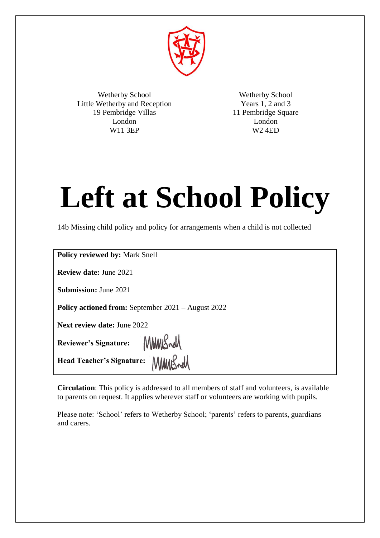

Wetherby School Little Wetherby and Reception 19 Pembridge Villas London W11 3EP

Wetherby School Years 1, 2 and 3 11 Pembridge Square London W2 4ED

# **Left at School Policy**

14b Missing child policy and policy for arrangements when a child is not collected

| <b>Policy reviewed by: Mark Snell</b>                     |
|-----------------------------------------------------------|
| <b>Review date: June 2021</b>                             |
| <b>Submission: June 2021</b>                              |
| <b>Policy actioned from:</b> September 2021 – August 2022 |
| <b>Next review date: June 2022</b>                        |
| Reviewer's Signature: MMMSwM                              |
| Head Teacher's Signature:                                 |

**Circulation**: This policy is addressed to all members of staff and volunteers, is available to parents on request. It applies wherever staff or volunteers are working with pupils.

Please note: 'School' refers to Wetherby School; 'parents' refers to parents, guardians and carers.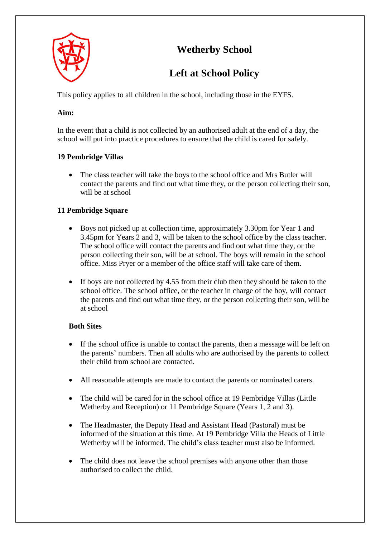

## **Wetherby School**

## **Left at School Policy**

This policy applies to all children in the school, including those in the EYFS.

#### **Aim:**

In the event that a child is not collected by an authorised adult at the end of a day, the school will put into practice procedures to ensure that the child is cared for safely.

### **19 Pembridge Villas**

• The class teacher will take the boys to the school office and Mrs Butler will contact the parents and find out what time they, or the person collecting their son, will be at school

### **11 Pembridge Square**

- Boys not picked up at collection time, approximately 3.30pm for Year 1 and 3.45pm for Years 2 and 3, will be taken to the school office by the class teacher. The school office will contact the parents and find out what time they, or the person collecting their son, will be at school. The boys will remain in the school office. Miss Pryer or a member of the office staff will take care of them.
- If boys are not collected by 4.55 from their club then they should be taken to the school office. The school office, or the teacher in charge of the boy, will contact the parents and find out what time they, or the person collecting their son, will be at school

#### **Both Sites**

- If the school office is unable to contact the parents, then a message will be left on the parents' numbers. Then all adults who are authorised by the parents to collect their child from school are contacted.
- All reasonable attempts are made to contact the parents or nominated carers.
- The child will be cared for in the school office at 19 Pembridge Villas (Little Wetherby and Reception) or 11 Pembridge Square (Years 1, 2 and 3).
- The Headmaster, the Deputy Head and Assistant Head (Pastoral) must be informed of the situation at this time. At 19 Pembridge Villa the Heads of Little Wetherby will be informed. The child's class teacher must also be informed.
- The child does not leave the school premises with anyone other than those authorised to collect the child.